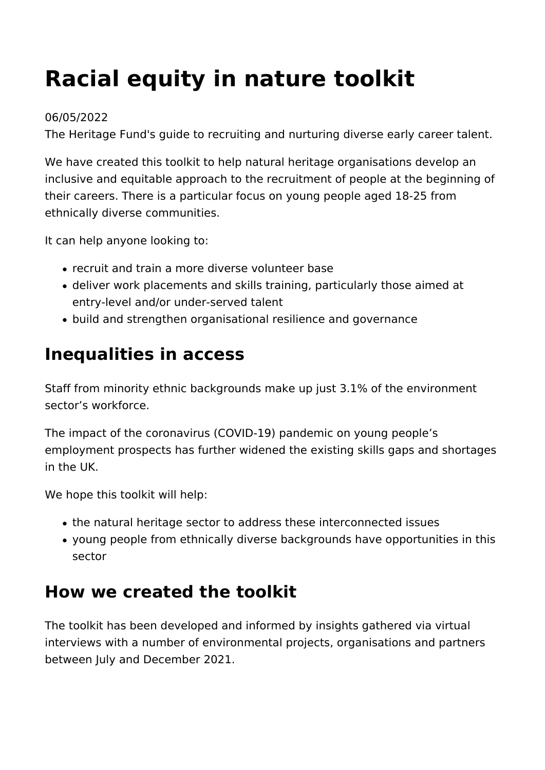# **Racial equity in nature toolkit**

#### 06/05/2022

The Heritage Fund's guide to recruiting and nurturing diverse early career talent.

We have created this toolkit to help natural heritage organisations develop an inclusive and equitable approach to the recruitment of people at the beginning of their careers. There is a particular focus on young people aged 18-25 from ethnically diverse communities.

It can help anyone looking to:

- recruit and train a more diverse volunteer base
- deliver work placements and skills training, particularly those aimed at entry-level and/or under-served talent
- build and strengthen organisational resilience and governance

## **Inequalities in access**

Staff from minority ethnic backgrounds make up just 3.1% of the environment sector's workforce.

The impact of the coronavirus (COVID-19) pandemic on young people's employment prospects has further widened the existing skills gaps and shortages in the UK.

We hope this toolkit will help:

- the natural heritage sector to address these interconnected issues
- young people from ethnically diverse backgrounds have opportunities in this sector

### **How we created the toolkit**

The toolkit has been developed and informed by insights gathered via virtual interviews with a number of environmental projects, organisations and partners between July and December 2021.